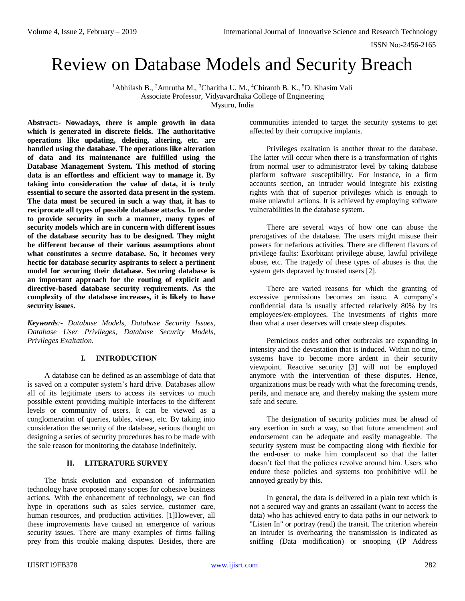ISSN No:-2456-2165

# Review on Database Models and Security Breach

<sup>1</sup>Abhilash B., <sup>2</sup>Amrutha M., <sup>3</sup>Charitha U. M., <sup>4</sup>Chiranth B. K., <sup>5</sup>D. Khasim Vali Associate Professor, Vidyavardhaka College of Engineering

Mysuru, India

**Abstract:- Nowadays, there is ample growth in data which is generated in discrete fields. The authoritative operations like updating, deleting, altering, etc. are handled using the database. The operations like alteration of data and its maintenance are fulfilled using the Database Management System. This method of storing data is an effortless and efficient way to manage it. By taking into consideration the value of data, it is truly essential to secure the assorted data present in the system. The data must be secured in such a way that, it has to reciprocate all types of possible database attacks. In order to provide security in such a manner, many types of security models which are in concern with different issues of the database security has to be designed. They might be different because of their various assumptions about what constitutes a secure database. So, it becomes very hectic for database security aspirants to select a pertinent model for securing their database. Securing database is an important approach for the routing of explicit and directive-based database security requirements. As the complexity of the database increases, it is likely to have security issues.**

*Keywords:- Database Models, Database Security Issues, Database User Privileges, Database Security Models, Privileges Exaltation.*

# **I. INTRODUCTION**

A database can be defined as an assemblage of data that is saved on a computer system's hard drive. Databases allow all of its legitimate users to access its services to much possible extent providing multiple interfaces to the different levels or community of users. It can be viewed as a conglomeration of queries, tables, views, etc. By taking into consideration the security of the database, serious thought on designing a series of security procedures has to be made with the sole reason for monitoring the database indefinitely.

# **II. LITERATURE SURVEY**

The brisk evolution and expansion of information technology have proposed many scopes for cohesive business actions. With the enhancement of technology, we can find hype in operations such as sales service, customer care, human resources, and production activities. [1]However, all these improvements have caused an emergence of various security issues. There are many examples of firms falling prey from this trouble making disputes. Besides, there are communities intended to target the security systems to get affected by their corruptive implants.

Privileges exaltation is another threat to the database. The latter will occur when there is a transformation of rights from normal user to administrator level by taking database platform software susceptibility. For instance, in a firm accounts section, an intruder would integrate his existing rights with that of superior privileges which is enough to make unlawful actions. It is achieved by employing software vulnerabilities in the database system.

There are several ways of how one can abuse the prerogatives of the database. The users might misuse their powers for nefarious activities. There are different flavors of privilege faults: Exorbitant privilege abuse, lawful privilege abuse, etc. The tragedy of these types of abuses is that the system gets depraved by trusted users [2].

There are varied reasons for which the granting of excessive permissions becomes an issue. A company's confidential data is usually affected relatively 80% by its employees/ex-employees. The investments of rights more than what a user deserves will create steep disputes.

Pernicious codes and other outbreaks are expanding in intensity and the devastation that is induced. Within no time, systems have to become more ardent in their security viewpoint. Reactive security [3] will not be employed anymore with the intervention of these disputes. Hence, organizations must be ready with what the forecoming trends, perils, and menace are, and thereby making the system more safe and secure.

The designation of security policies must be ahead of any exertion in such a way, so that future amendment and endorsement can be adequate and easily manageable. The security system must be compacting along with flexible for the end-user to make him complacent so that the latter doesn't feel that the policies revolve around him. Users who endure these policies and systems too prohibitive will be annoyed greatly by this.

In general, the data is delivered in a plain text which is not a secured way and grants an assailant (want to access the data) who has achieved entry to data paths in our network to "Listen In" or portray (read) the transit. The criterion wherein an intruder is overhearing the transmission is indicated as sniffing (Data modification) or snooping (IP Address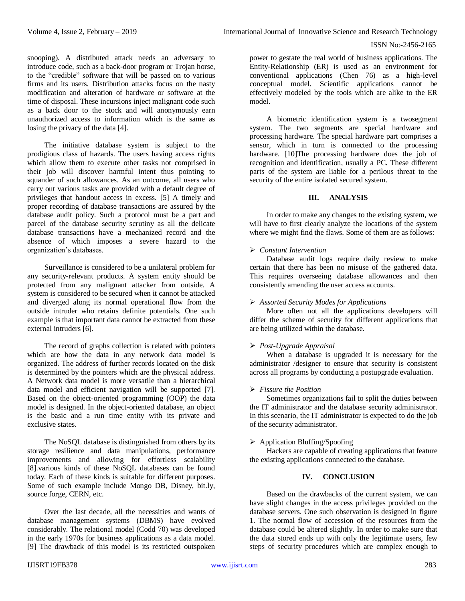snooping). A distributed attack needs an adversary to introduce code, such as a back-door program or Trojan horse, to the "credible" software that will be passed on to various firms and its users. Distribution attacks focus on the nasty modification and alteration of hardware or software at the time of disposal. These incursions inject malignant code such as a back door to the stock and will anonymously earn unauthorized access to information which is the same as losing the privacy of the data [4].

The initiative database system is subject to the prodigious class of hazards. The users having access rights which allow them to execute other tasks not comprised in their job will discover harmful intent thus pointing to squander of such allowances. As an outcome, all users who carry out various tasks are provided with a default degree of privileges that handout access in excess. [5] A timely and proper recording of database transactions are assured by the database audit policy. Such a protocol must be a part and parcel of the database security scrutiny as all the delicate database transactions have a mechanized record and the absence of which imposes a severe hazard to the organization's databases.

Surveillance is considered to be a unilateral problem for any security-relevant products. A system entity should be protected from any malignant attacker from outside. A system is considered to be secured when it cannot be attacked and diverged along its normal operational flow from the outside intruder who retains definite potentials. One such example is that important data cannot be extracted from these external intruders [6].

The record of graphs collection is related with pointers which are how the data in any network data model is organized. The address of further records located on the disk is determined by the pointers which are the physical address. A Network data model is more versatile than a hierarchical data model and efficient navigation will be supported [7]. Based on the object-oriented programming (OOP) the data model is designed. In the object-oriented database, an object is the basic and a run time entity with its private and exclusive states.

The NoSQL database is distinguished from others by its storage resilience and data manipulations, performance improvements and allowing for effortless scalability [8].various kinds of these NoSQL databases can be found today. Each of these kinds is suitable for different purposes. Some of such example include Mongo DB, Disney, bit.ly, source forge, CERN, etc.

Over the last decade, all the necessities and wants of database management systems (DBMS) have evolved considerably. The relational model (Codd 70) was developed in the early 1970s for business applications as a data model. [9] The drawback of this model is its restricted outspoken power to gestate the real world of business applications. The Entity-Relationship (ER) is used as an environment for conventional applications (Chen 76) as a high-level conceptual model. Scientific applications cannot be effectively modeled by the tools which are alike to the ER model.

A biometric identification system is a twosegment system. The two segments are special hardware and processing hardware. The special hardware part comprises a sensor, which in turn is connected to the processing hardware. [10]The processing hardware does the job of recognition and identification, usually a PC. These different parts of the system are liable for a perilous threat to the security of the entire isolated secured system.

## **III. ANALYSIS**

In order to make any changes to the existing system, we will have to first clearly analyze the locations of the system where we might find the flaws. Some of them are as follows:

## *Constant Intervention*

Database audit logs require daily review to make certain that there has been no misuse of the gathered data. This requires overseeing database allowances and then consistently amending the user access accounts.

#### *Assorted Security Modes for Applications*

More often not all the applications developers will differ the scheme of security for different applications that are being utilized within the database.

#### *Post-Upgrade Appraisal*

When a database is upgraded it is necessary for the administrator /designer to ensure that security is consistent across all programs by conducting a postupgrade evaluation.

## *Fissure the Position*

Sometimes organizations fail to split the duties between the IT administrator and the database security administrator. In this scenario, the IT administrator is expected to do the job of the security administrator.

#### $\triangleright$  Application Bluffing/Spoofing

Hackers are capable of creating applications that feature the existing applications connected to the database.

# **IV. CONCLUSION**

Based on the drawbacks of the current system, we can have slight changes in the access privileges provided on the database servers. One such observation is designed in figure 1. The normal flow of accession of the resources from the database could be altered slightly. In order to make sure that the data stored ends up with only the legitimate users, few steps of security procedures which are complex enough to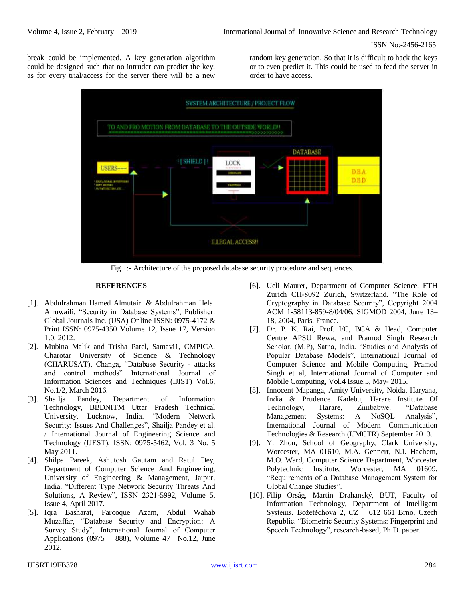ISSN No:-2456-2165

break could be implemented. A key generation algorithm could be designed such that no intruder can predict the key, as for every trial/access for the server there will be a new random key generation. So that it is difficult to hack the keys or to even predict it. This could be used to feed the server in order to have access.



Fig 1:- Architecture of the proposed database security procedure and sequences.

## **REFERENCES**

- [1]. Abdulrahman Hamed Almutairi & Abdulrahman Helal Alruwaili, "Security in Database Systems", Publisher: Global Journals Inc. (USA) Online ISSN: 0975-4172 & Print ISSN: 0975-4350 Volume 12, Issue 17, Version 1.0, 2012.
- [2]. Mubina Malik and Trisha Patel, Samavi1, CMPICA, Charotar University of Science & Technology (CHARUSAT), Changa, "Database Security - attacks and control methods" International Journal of Information Sciences and Techniques (IJIST) Vol.6, No.1/2, March 2016.
- [3]. Shailja Pandey, Department of Information Technology, BBDNITM Uttar Pradesh Technical University, Lucknow, India. "Modern Network Security: Issues And Challenges", Shailja Pandey et al. / International Journal of Engineering Science and Technology (IJEST), ISSN: 0975-5462, Vol. 3 No. 5 May 2011.
- [4]. Shilpa Pareek, Ashutosh Gautam and Ratul Dey, Department of Computer Science And Engineering, University of Engineering & Management, Jaipur, India. "Different Type Network Security Threats And Solutions, A Review", ISSN 2321-5992, Volume 5, Issue 4, April 2017.
- [5]. Iqra Basharat, Farooque Azam, Abdul Wahab Muzaffar, "Database Security and Encryption: A Survey Study", International Journal of Computer Applications (0975 – 888), Volume  $47 -$  No.12, June 2012.
- [6]. Ueli Maurer, Department of Computer Science, ETH Zurich CH-8092 Zurich, Switzerland. "The Role of Cryptography in Database Security", Copyright 2004 ACM 1-58113-859-8/04/06, SIGMOD 2004, June 13– 18, 2004, Paris, France.
- [7]. Dr. P. K. Rai, Prof. I/C, BCA & Head, Computer Centre APSU Rewa, and Pramod Singh Research Scholar, (M.P), Satna, India. "Studies and Analysis of Popular Database Models", International Journal of Computer Science and Mobile Computing, Pramod Singh et al, International Journal of Computer and Mobile Computing, Vol.4 Issue.5, May- 2015.
- [8]. Innocent Mapanga, Amity University, Noida, Haryana, India & Prudence Kadebu, Harare Institute Of Technology, Harare, Zimbabwe. "Database Management Systems: A NoSQL Analysis", International Journal of Modern Communication Technologies & Research (IJMCTR).September 2013.
- [9]. Y. Zhou, School of Geography, Clark University, Worcester, MA 01610, M.A. Gennert, N.I. Hachem, M.O. Ward, Computer Science Department, Worcester Polytechnic Institute, Worcester, MA 01609. "Requirements of a Database Management System for Global Change Studies".
- [10]. Filip Orság, Martin Drahanský, BUT, Faculty of Information Technology, Department of Intelligent Systems, Božetěchova 2, CZ – 612 661 Brno, Czech Republic. "Biometric Security Systems: Fingerprint and Speech Technology", research-based, Ph.D. paper.